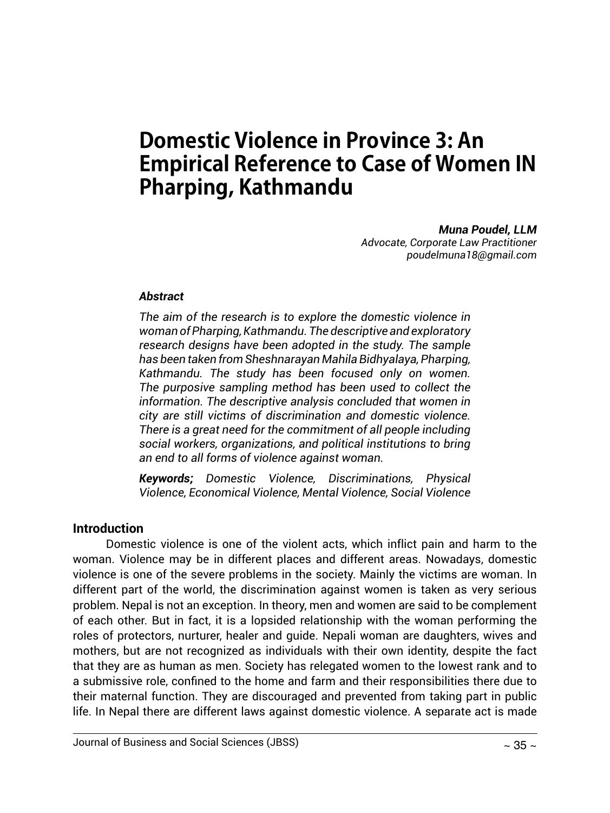# **Domestic Violence in Province 3: An Empirical Reference to Case of Women IN Pharping, Kathmandu**

*Muna Poudel, LLM Advocate, Corporate Law Practitioner poudelmuna18@gmail.com*

#### *Abstract*

*The aim of the research is to explore the domestic violence in woman of Pharping, Kathmandu. The descriptive and exploratory research designs have been adopted in the study. The sample has been taken from Sheshnarayan Mahila Bidhyalaya, Pharping, Kathmandu. The study has been focused only on women. The purposive sampling method has been used to collect the information. The descriptive analysis concluded that women in city are still victims of discrimination and domestic violence. There is a great need for the commitment of all people including social workers, organizations, and political institutions to bring an end to all forms of violence against woman.*

*Keywords; Domestic Violence, Discriminations, Physical Violence, Economical Violence, Mental Violence, Social Violence*

#### **Introduction**

Domestic violence is one of the violent acts, which inflict pain and harm to the woman. Violence may be in different places and different areas. Nowadays, domestic violence is one of the severe problems in the society. Mainly the victims are woman. In different part of the world, the discrimination against women is taken as very serious problem. Nepal is not an exception. In theory, men and women are said to be complement of each other. But in fact, it is a lopsided relationship with the woman performing the roles of protectors, nurturer, healer and guide. Nepali woman are daughters, wives and mothers, but are not recognized as individuals with their own identity, despite the fact that they are as human as men. Society has relegated women to the lowest rank and to a submissive role, confined to the home and farm and their responsibilities there due to their maternal function. They are discouraged and prevented from taking part in public life. In Nepal there are different laws against domestic violence. A separate act is made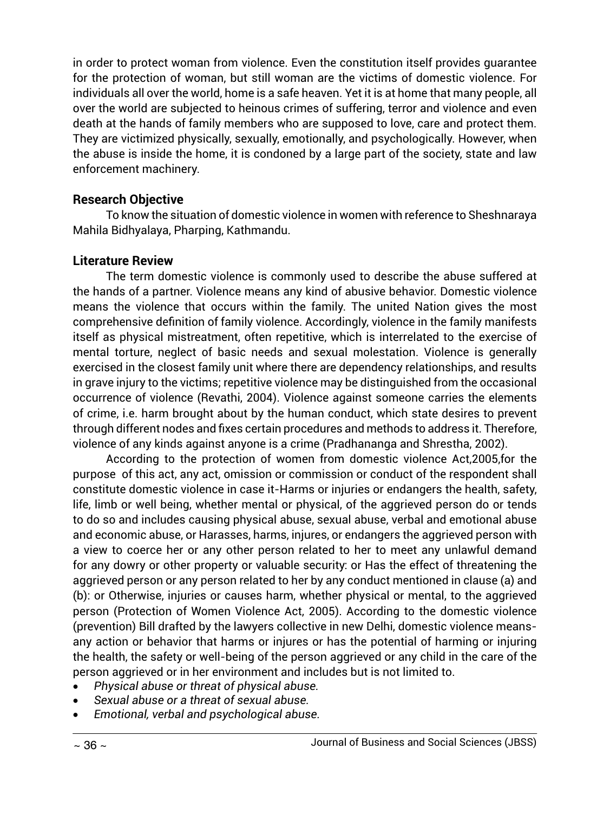in order to protect woman from violence. Even the constitution itself provides guarantee for the protection of woman, but still woman are the victims of domestic violence. For individuals all over the world, home is a safe heaven. Yet it is at home that many people, all over the world are subjected to heinous crimes of suffering, terror and violence and even death at the hands of family members who are supposed to love, care and protect them. They are victimized physically, sexually, emotionally, and psychologically. However, when the abuse is inside the home, it is condoned by a large part of the society, state and law enforcement machinery.

## **Research Objective**

To know the situation of domestic violence in women with reference to Sheshnaraya Mahila Bidhyalaya, Pharping, Kathmandu.

#### **Literature Review**

The term domestic violence is commonly used to describe the abuse suffered at the hands of a partner. Violence means any kind of abusive behavior. Domestic violence means the violence that occurs within the family. The united Nation gives the most comprehensive definition of family violence. Accordingly, violence in the family manifests itself as physical mistreatment, often repetitive, which is interrelated to the exercise of mental torture, neglect of basic needs and sexual molestation. Violence is generally exercised in the closest family unit where there are dependency relationships, and results in grave injury to the victims; repetitive violence may be distinguished from the occasional occurrence of violence (Revathi, 2004). Violence against someone carries the elements of crime, i.e. harm brought about by the human conduct, which state desires to prevent through different nodes and fixes certain procedures and methods to address it. Therefore, violence of any kinds against anyone is a crime (Pradhananga and Shrestha, 2002).

According to the protection of women from domestic violence Act,2005,for the purpose of this act, any act, omission or commission or conduct of the respondent shall constitute domestic violence in case it-Harms or injuries or endangers the health, safety, life, limb or well being, whether mental or physical, of the aggrieved person do or tends to do so and includes causing physical abuse, sexual abuse, verbal and emotional abuse and economic abuse, or Harasses, harms, injures, or endangers the aggrieved person with a view to coerce her or any other person related to her to meet any unlawful demand for any dowry or other property or valuable security: or Has the effect of threatening the aggrieved person or any person related to her by any conduct mentioned in clause (a) and (b): or Otherwise, injuries or causes harm, whether physical or mental, to the aggrieved person (Protection of Women Violence Act, 2005). According to the domestic violence (prevention) Bill drafted by the lawyers collective in new Delhi, domestic violence meansany action or behavior that harms or injures or has the potential of harming or injuring the health, the safety or well-being of the person aggrieved or any child in the care of the person aggrieved or in her environment and includes but is not limited to.

- **Physical abuse or threat of physical abuse.**
- Sexual abuse or a threat of sexual abuse.
- • *Emotional, verbal and psychological abuse.*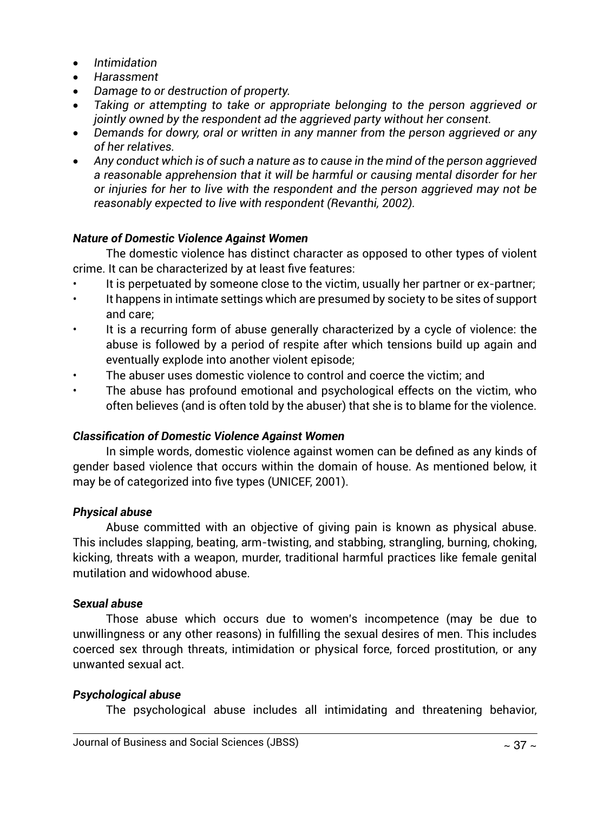- • *Intimidation*
- • *Harassment*
- • *Damage to or destruction of property.*
- • *Taking or attempting to take or appropriate belonging to the person aggrieved or jointly owned by the respondent ad the aggrieved party without her consent.*
- Demands for dowry, oral or written in any manner from the person aggrieved or any *of her relatives.*
- • *Any conduct which is of such a nature as to cause in the mind of the person aggrieved a reasonable apprehension that it will be harmful or causing mental disorder for her or injuries for her to live with the respondent and the person aggrieved may not be reasonably expected to live with respondent (Revanthi, 2002).*

#### *Nature of Domestic Violence Against Women*

The domestic violence has distinct character as opposed to other types of violent crime. It can be characterized by at least five features:

- It is perpetuated by someone close to the victim, usually her partner or ex-partner;
- It happens in intimate settings which are presumed by society to be sites of support and care;
- It is a recurring form of abuse generally characterized by a cycle of violence: the abuse is followed by a period of respite after which tensions build up again and eventually explode into another violent episode;
- The abuser uses domestic violence to control and coerce the victim; and
- The abuse has profound emotional and psychological effects on the victim, who often believes (and is often told by the abuser) that she is to blame for the violence.

## *Classification of Domestic Violence Against Women*

In simple words, domestic violence against women can be defined as any kinds of gender based violence that occurs within the domain of house. As mentioned below, it may be of categorized into five types (UNICEF, 2001).

## *Physical abuse*

Abuse committed with an objective of giving pain is known as physical abuse. This includes slapping, beating, arm-twisting, and stabbing, strangling, burning, choking, kicking, threats with a weapon, murder, traditional harmful practices like female genital mutilation and widowhood abuse.

#### *Sexual abuse*

Those abuse which occurs due to women's incompetence (may be due to unwillingness or any other reasons) in fulfilling the sexual desires of men. This includes coerced sex through threats, intimidation or physical force, forced prostitution, or any unwanted sexual act.

## *Psychological abuse*

The psychological abuse includes all intimidating and threatening behavior,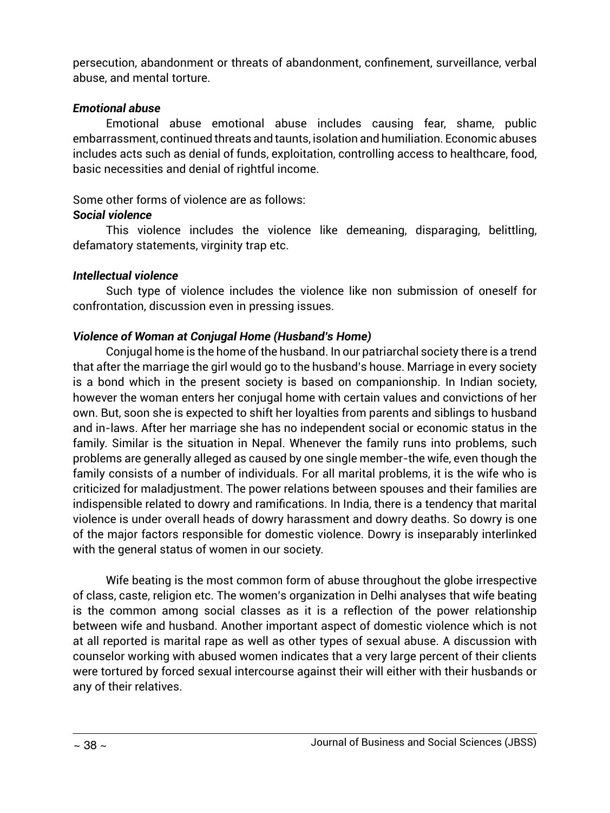persecution, abandonment or threats of abandonment, confinement, surveillance, verbal abuse, and mental torture.

#### *Emotional abuse*

Emotional abuse emotional abuse includes causing fear, shame, public embarrassment, continued threats and taunts, isolation and humiliation. Economic abuses includes acts such as denial of funds, exploitation, controlling access to healthcare, food, basic necessities and denial of rightful income.

#### Some other forms of violence are as follows:

#### *Social violence*

This violence includes the violence like demeaning, disparaging, belittling, defamatory statements, virginity trap etc.

#### *Intellectual violence*

Such type of violence includes the violence like non submission of oneself for confrontation, discussion even in pressing issues.

## *Violence of Woman at Conjugal Home (Husband's Home)*

Conjugal home is the home of the husband. In our patriarchal society there is a trend that after the marriage the girl would go to the husband's house. Marriage in every society is a bond which in the present society is based on companionship. In Indian society, however the woman enters her conjugal home with certain values and convictions of her own. But, soon she is expected to shift her loyalties from parents and siblings to husband and in-laws. After her marriage she has no independent social or economic status in the family. Similar is the situation in Nepal. Whenever the family runs into problems, such problems are generally alleged as caused by one single member-the wife, even though the family consists of a number of individuals. For all marital problems, it is the wife who is criticized for maladjustment. The power relations between spouses and their families are indispensible related to dowry and ramifications. In India, there is a tendency that marital violence is under overall heads of dowry harassment and dowry deaths. So dowry is one of the major factors responsible for domestic violence. Dowry is inseparably interlinked with the general status of women in our society.

Wife beating is the most common form of abuse throughout the globe irrespective of class, caste, religion etc. The women's organization in Delhi analyses that wife beating is the common among social classes as it is a reflection of the power relationship between wife and husband. Another important aspect of domestic violence which is not at all reported is marital rape as well as other types of sexual abuse. A discussion with counselor working with abused women indicates that a very large percent of their clients were tortured by forced sexual intercourse against their will either with their husbands or any of their relatives.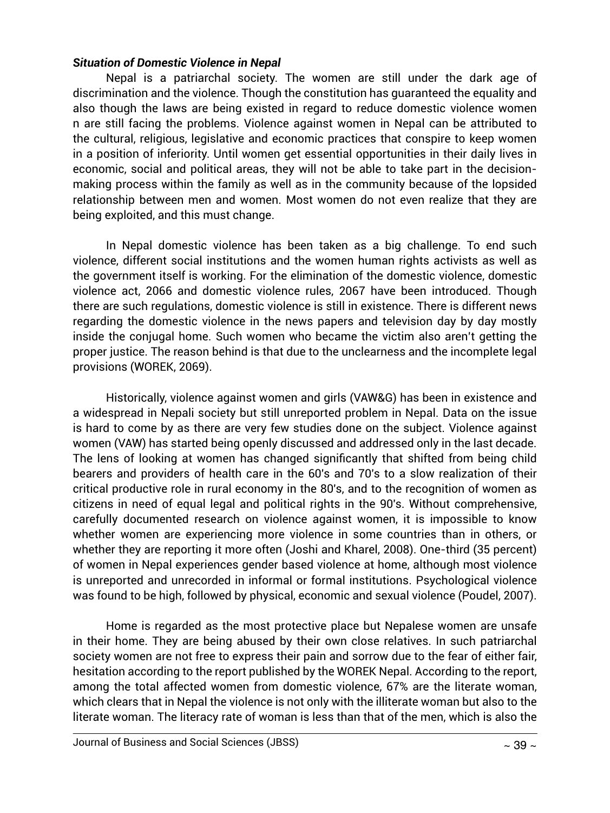#### *Situation of Domestic Violence in Nepal*

Nepal is a patriarchal society. The women are still under the dark age of discrimination and the violence. Though the constitution has guaranteed the equality and also though the laws are being existed in regard to reduce domestic violence women n are still facing the problems. Violence against women in Nepal can be attributed to the cultural, religious, legislative and economic practices that conspire to keep women in a position of inferiority. Until women get essential opportunities in their daily lives in economic, social and political areas, they will not be able to take part in the decisionmaking process within the family as well as in the community because of the lopsided relationship between men and women. Most women do not even realize that they are being exploited, and this must change.

In Nepal domestic violence has been taken as a big challenge. To end such violence, different social institutions and the women human rights activists as well as the government itself is working. For the elimination of the domestic violence, domestic violence act, 2066 and domestic violence rules, 2067 have been introduced. Though there are such regulations, domestic violence is still in existence. There is different news regarding the domestic violence in the news papers and television day by day mostly inside the conjugal home. Such women who became the victim also aren't getting the proper justice. The reason behind is that due to the unclearness and the incomplete legal provisions (WOREK, 2069).

Historically, violence against women and girls (VAW&G) has been in existence and a widespread in Nepali society but still unreported problem in Nepal. Data on the issue is hard to come by as there are very few studies done on the subject. Violence against women (VAW) has started being openly discussed and addressed only in the last decade. The lens of looking at women has changed significantly that shifted from being child bearers and providers of health care in the 60's and 70's to a slow realization of their critical productive role in rural economy in the 80's, and to the recognition of women as citizens in need of equal legal and political rights in the 90's. Without comprehensive, carefully documented research on violence against women, it is impossible to know whether women are experiencing more violence in some countries than in others, or whether they are reporting it more often (Joshi and Kharel, 2008). One-third (35 percent) of women in Nepal experiences gender based violence at home, although most violence is unreported and unrecorded in informal or formal institutions. Psychological violence was found to be high, followed by physical, economic and sexual violence (Poudel, 2007).

Home is regarded as the most protective place but Nepalese women are unsafe in their home. They are being abused by their own close relatives. In such patriarchal society women are not free to express their pain and sorrow due to the fear of either fair, hesitation according to the report published by the WOREK Nepal. According to the report, among the total affected women from domestic violence, 67% are the literate woman, which clears that in Nepal the violence is not only with the illiterate woman but also to the literate woman. The literacy rate of woman is less than that of the men, which is also the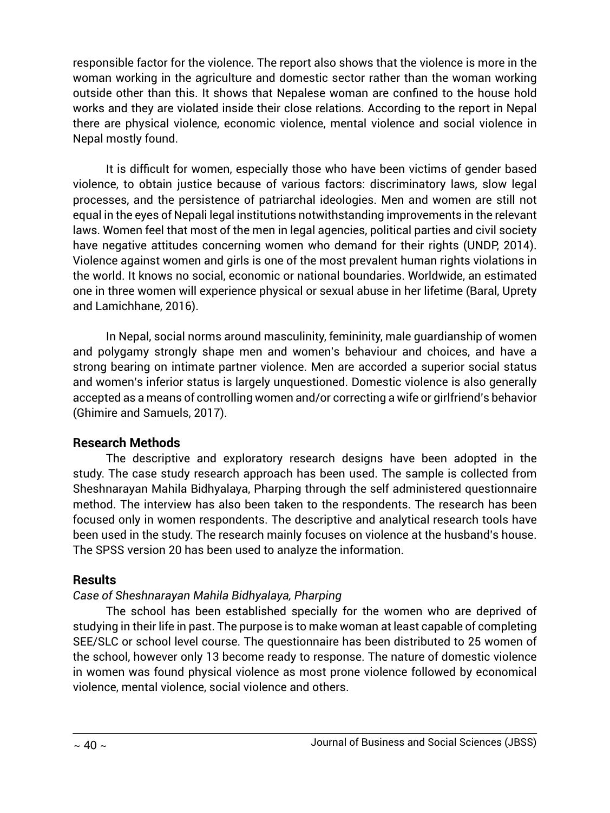responsible factor for the violence. The report also shows that the violence is more in the woman working in the agriculture and domestic sector rather than the woman working outside other than this. It shows that Nepalese woman are confined to the house hold works and they are violated inside their close relations. According to the report in Nepal there are physical violence, economic violence, mental violence and social violence in Nepal mostly found.

It is difficult for women, especially those who have been victims of gender based violence, to obtain justice because of various factors: discriminatory laws, slow legal processes, and the persistence of patriarchal ideologies. Men and women are still not equal in the eyes of Nepali legal institutions notwithstanding improvements in the relevant laws. Women feel that most of the men in legal agencies, political parties and civil society have negative attitudes concerning women who demand for their rights (UNDP, 2014). Violence against women and girls is one of the most prevalent human rights violations in the world. It knows no social, economic or national boundaries. Worldwide, an estimated one in three women will experience physical or sexual abuse in her lifetime (Baral, Uprety and Lamichhane, 2016).

In Nepal, social norms around masculinity, femininity, male guardianship of women and polygamy strongly shape men and women's behaviour and choices, and have a strong bearing on intimate partner violence. Men are accorded a superior social status and women's inferior status is largely unquestioned. Domestic violence is also generally accepted as a means of controlling women and/or correcting a wife or girlfriend's behavior (Ghimire and Samuels, 2017).

## **Research Methods**

The descriptive and exploratory research designs have been adopted in the study. The case study research approach has been used. The sample is collected from Sheshnarayan Mahila Bidhyalaya, Pharping through the self administered questionnaire method. The interview has also been taken to the respondents. The research has been focused only in women respondents. The descriptive and analytical research tools have been used in the study. The research mainly focuses on violence at the husband's house. The SPSS version 20 has been used to analyze the information.

## **Results**

## *Case of Sheshnarayan Mahila Bidhyalaya, Pharping*

The school has been established specially for the women who are deprived of studying in their life in past. The purpose is to make woman at least capable of completing SEE/SLC or school level course. The questionnaire has been distributed to 25 women of the school, however only 13 become ready to response. The nature of domestic violence in women was found physical violence as most prone violence followed by economical violence, mental violence, social violence and others.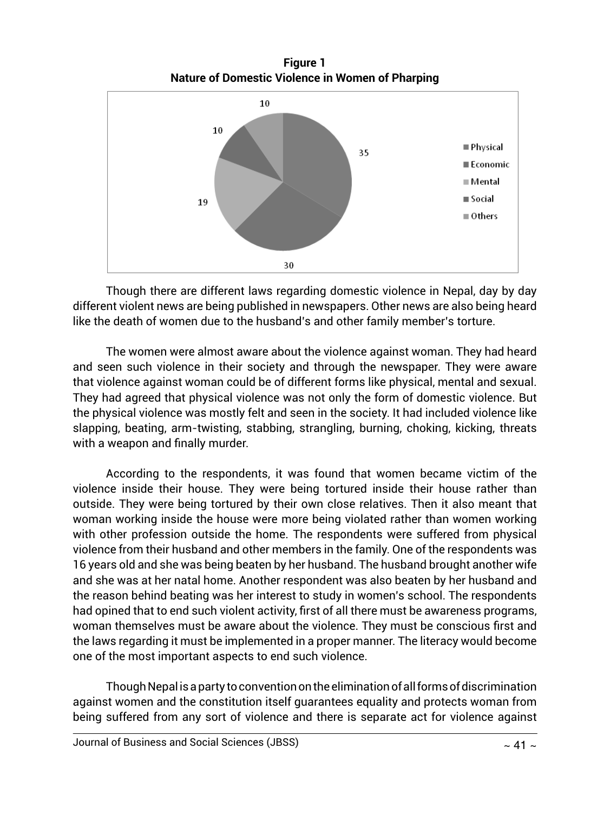**Figure 1 Nature of Domestic Violence in Women of Pharping**



Though there are different laws regarding domestic violence in Nepal, day by day different violent news are being published in newspapers. Other news are also being heard like the death of women due to the husband's and other family member's torture.

The women were almost aware about the violence against woman. They had heard and seen such violence in their society and through the newspaper. They were aware that violence against woman could be of different forms like physical, mental and sexual. They had agreed that physical violence was not only the form of domestic violence. But the physical violence was mostly felt and seen in the society. It had included violence like slapping, beating, arm-twisting, stabbing, strangling, burning, choking, kicking, threats with a weapon and finally murder.

According to the respondents, it was found that women became victim of the violence inside their house. They were being tortured inside their house rather than outside. They were being tortured by their own close relatives. Then it also meant that woman working inside the house were more being violated rather than women working with other profession outside the home. The respondents were suffered from physical violence from their husband and other members in the family. One of the respondents was 16 years old and she was being beaten by her husband. The husband brought another wife and she was at her natal home. Another respondent was also beaten by her husband and the reason behind beating was her interest to study in women's school. The respondents had opined that to end such violent activity, first of all there must be awareness programs, woman themselves must be aware about the violence. They must be conscious first and the laws regarding it must be implemented in a proper manner. The literacy would become one of the most important aspects to end such violence.

Though Nepal is a party to convention on the elimination of all forms of discrimination against women and the constitution itself guarantees equality and protects woman from being suffered from any sort of violence and there is separate act for violence against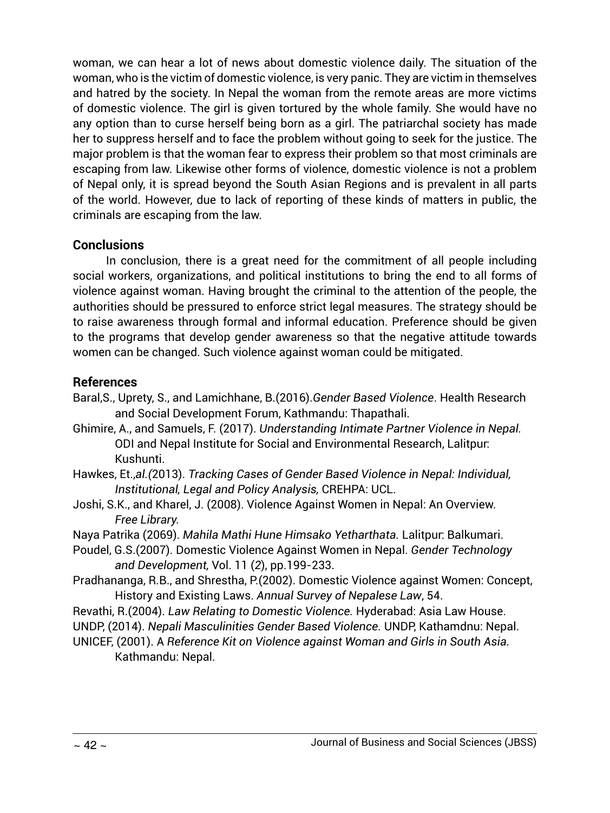woman, we can hear a lot of news about domestic violence daily. The situation of the woman, who is the victim of domestic violence, is very panic. They are victim in themselves and hatred by the society. In Nepal the woman from the remote areas are more victims of domestic violence. The girl is given tortured by the whole family. She would have no any option than to curse herself being born as a girl. The patriarchal society has made her to suppress herself and to face the problem without going to seek for the justice. The major problem is that the woman fear to express their problem so that most criminals are escaping from law. Likewise other forms of violence, domestic violence is not a problem of Nepal only, it is spread beyond the South Asian Regions and is prevalent in all parts of the world. However, due to lack of reporting of these kinds of matters in public, the criminals are escaping from the law.

## **Conclusions**

In conclusion, there is a great need for the commitment of all people including social workers, organizations, and political institutions to bring the end to all forms of violence against woman. Having brought the criminal to the attention of the people, the authorities should be pressured to enforce strict legal measures. The strategy should be to raise awareness through formal and informal education. Preference should be given to the programs that develop gender awareness so that the negative attitude towards women can be changed. Such violence against woman could be mitigated.

## **References**

- Baral,S., Uprety, S., and Lamichhane, B.(2016).*Gender Based Violence*. Health Research and Social Development Forum, Kathmandu: Thapathali.
- Ghimire, A., and Samuels, F. (2017). *Understanding Intimate Partner Violence in Nepal.* ODI and Nepal Institute for Social and Environmental Research, Lalitpur: Kushunti.
- Hawkes, Et.,*al.(*2013). *Tracking Cases of Gender Based Violence in Nepal: Individual, Institutional, Legal and Policy Analysis,* CREHPA: UCL.
- Joshi, S.K., and Kharel, J. (2008). Violence Against Women in Nepal: An Overview. *Free Library.*
- Naya Patrika (2069). *Mahila Mathi Hune Himsako Yetharthata.* Lalitpur: Balkumari.
- Poudel, G.S.(2007). Domestic Violence Against Women in Nepal. *Gender Technology and Development,* Vol. 11 (*2*), pp.199-233.
- Pradhananga, R.B., and Shrestha, P.(2002). Domestic Violence against Women: Concept, History and Existing Laws. *Annual Survey of Nepalese Law*, 54.
- Revathi, R.(2004). *Law Relating to Domestic Violence.* Hyderabad: Asia Law House. UNDP, (2014). *Nepali Masculinities Gender Based Violence.* UNDP, Kathamdnu: Nepal. UNICEF, (2001). A *Reference Kit on Violence against Woman and Girls in South Asia.*

Kathmandu: Nepal.